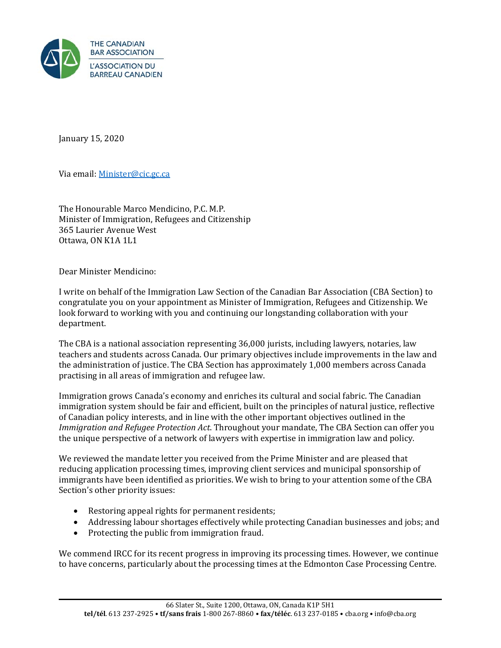

January 15, 2020

Via email: Minister@cic.gc.ca

The Honourable Marco Mendicino, P.C. M.P. Minister of Immigration, Refugees and Citizenship 365 Laurier Avenue West Ottawa, ON K1A 1L1

Dear Minister Mendicino:

I write on behalf of the Immigration Law Section of the Canadian Bar Association (CBA Section) to congratulate you on your appointment as Minister of Immigration, Refugees and Citizenship. We look forward to working with you and continuing our longstanding collaboration with your department.

The CBA is a national association representing 36,000 jurists, including lawyers, notaries, law teachers and students across Canada. Our primary objectives include improvements in the law and the administration of justice. The CBA Section has approximately 1,000 members across Canada practising in all areas of immigration and refugee law.

Immigration grows Canada's economy and enriches its cultural and social fabric. The Canadian immigration system should be fair and efficient, built on the principles of natural justice, reflective of Canadian policy interests, and in line with the other important objectives outlined in the *Immigration and Refugee Protection Act*. Throughout your mandate, The CBA Section can offer you the unique perspective of a network of lawyers with expertise in immigration law and policy.

We reviewed the mandate letter you received from the Prime Minister and are pleased that reducing application processing times, improving client services and municipal sponsorship of immigrants have been identified as priorities. We wish to bring to your attention some of the CBA Section's other priority issues:

- Restoring appeal rights for permanent residents;
- Addressing labour shortages effectively while protecting Canadian businesses and jobs; and
- Protecting the public from immigration fraud.

We commend IRCC for its recent progress in improving its processing times. However, we continue to have concerns, particularly about the processing times at the Edmonton Case Processing Centre.